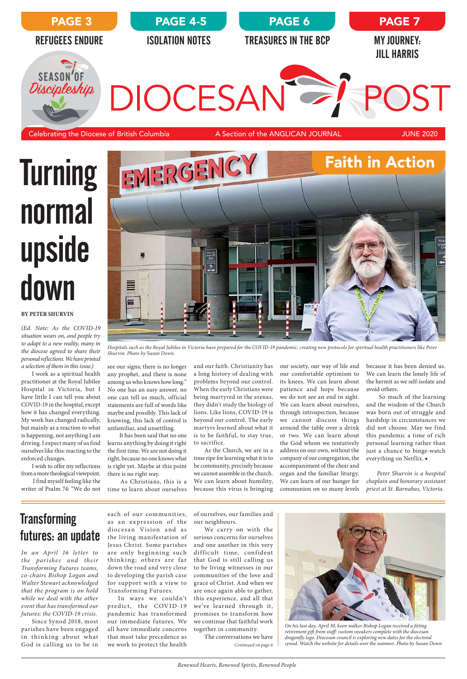

# **Turning** normal upside down

### futures: an update

and our faith. Christianity has a long history of dealing with problems beyond our control. When the early Christians were being martyred in the arenas, they didn't study the biology of lions. Like lions, COVID-19 is beyond our control. The early martyrs learned about what it is to be faithful, to stay true, to sacrifice.

As the Church, we are in a time ripe for learning what it is to be community, precisely because we cannot assemble in the church. We can learn about humility, because this virus is bringing our society, our way of life and our comfortable optimism to its knees. We can learn about patience and hope because we do not see an end in sight. We can learn about ourselves, through introspection, because we cannot discuss things around the table over a drink or two. We can learn about the God whom we tentatively address on our own, without the company of our congregation, the accompaniment of the choir and organ and the familiar liturgy. We can learn of our hunger for communion on so many levels

because it has been denied us. We can learn the lonely life of the hermit as we self-isolate and avoid others.

 So much of the learning and the wisdom of the Church was born out of struggle and hardship in circumstances we did not choose. May we find this pandemic a time of rich personal learning rather than just a chance to binge-watch everything on Netflix. ■

*Peter Shurvin is a hospital chaplain and honorary assistant priest at St. Barnabas, Victoria.*

### **Transforming**

see our signs; there is no longer any prophet, and there is none among us who knows how long." No one has an easy answer, no one can tell us much, official statements are full of words like maybe and possibly. This lack of knowing, this lack of control is unfamiliar, and unsettling.

 It has been said that no one learns anything by doing it right the first time. We are not doing it right, because no one knows what is right yet. Maybe at this point there is no right way.

 As Christians, this is a time to learn about ourselves

#### **BY PETER SHURVIN**

*(Ed. Note: As the COVID-19 situation wears on, and people try to adapt to a new reality, many in the diocese agreed to share their personal reflections. We have printed a selection of them in this issue.)*

> *Continued on page 6* serious concerns for ourselves and one another in this very difficult time, confident that God is still calling us to be living witnesses in our communities of the love and grace of Christ. And when we are once again able to gather, this experience, and all that we've learned through it, promises to transform how we continue that faithful work together in community. The conversations we have

I work as a spiritual health practitioner at the Royal Jubilee Hospital in Victoria, but I have little I can tell you about COVID-19 in the hospital, except how it has changed everything. My work has changed radically, but mainly as a reaction to what is happening, not anything I am driving. I expect many of us find ourselves like this: reacting to the enforced changes.

I wish to offer my reflections from a more theological viewpoint.

 I find myself feeling like the writer of Psalm 74: "We do not

> *On his last day, April 30, keen walker Bishop Logan received a fitting retirement gift from staff: custom sneakers complete with the diocesan dragonfly logo. Diocesan council is exploring new dates for the electoral synod. Watch the website for details over the summer. Photo by Susan Down*

*In an April 16 letter to the parishes and their Transforming Futures teams, co-chairs Bishop Logan and Walter Stewart acknowledged that the program is on hold while we deal with the other event that has transformed our futures: the COVID-19 crisis.*

Since Synod 2018, most parishes have been engaged in thinking about what God is calling us to be in



*Hospitals such as the Royal Jubilee in Victoria have prepared for the COVID-19 pandemic, creating new protocols for spiritual health practitioners like Peter Shurvin. Photo by Susan Down.*

each of our communities, as an expression of the ourneighbours. diocesan Vision and as the living manifestation of Jesus Christ. Some parishes are only beginning such think ing; others are far down the road and very close to developing the parish case for support with a view to Transforming Futures. In ways we couldn't predict, the COVID-19 pandemic has transformed our immediate futures. We all have immediate concerns that must take precedence as we work to protect the health

of ourselves, our families and

We carry on with the

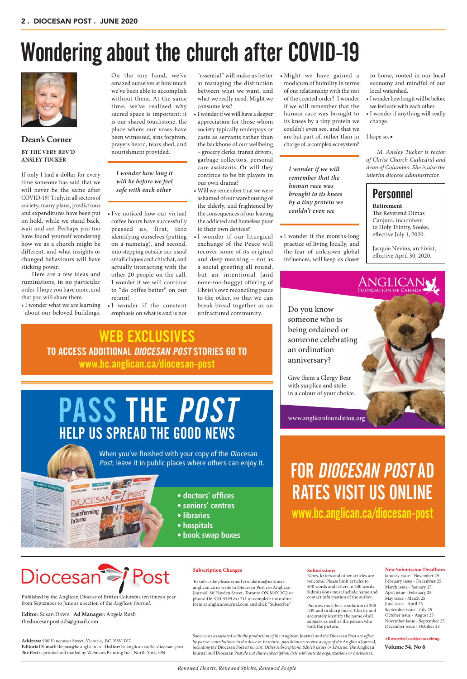# Wondering about the church after COVID-19



### **Dean's Corner BY THE VERY REV'D ANSLEY TUCKER**

If only I had a dollar for every time someone has said that we will never be the same after COVID-19! Truly, in all sectors of society, many plans, predictions and expenditures have been put on hold, while we stand back, wait and see. Perhaps you too have found yourself wondering how we as a church might be different, and what insights or changed behaviours will have sticking power.

Here are a few ideas and ruminations, in no particular order. I hope you have more, and that you will share them.

• I wonder what we are learning about our beloved buildings.

On the one hand, we've amazed ourselves at how much we've been able to accomplish without them. At the same time, we've realized why sacred space is important: it is our shared touchstone, the place where our vows have been witnessed, sins forgiven, prayers heard, tears shed, and nourishment provided.

• I've noticed how our virtual coffee hours have successfully pressed us, first, into identifying ourselves (putting on a nametag), and second, into stepping outside our usual small cliques and chitchat, and actually interacting with the other 20 people on the call. I wonder if we will continue to "do coffee better" on our return?

• I wonder if the constant emphasis on what is and is not

"essential" will make us better at managing the distinction between what we want, and what we really need. Might we consume less?

- I wonder if we will have a deeper appreciation for those whom society typically underpays or casts as servants rather than the backbone of our wellbeing – grocery clerks, transit drivers, garbage collectors, personal care assistants. Or will they continue to be bit players in our own drama?
- Will we remember that we were ashamed of our warehousing of the elderly, and frightened by the consequences of our leaving the addicted and homeless poor to their own devices?
- I wonder if our liturgical exchange of the Peace will recover some of its original and deep meaning – not as a social greeting all round, but an intentional (and none-too-huggy) offering of Christ's own reconciling peace to the other, so that we can break bread together as an unfractured community.

• Might we have gained a modicum of humility in terms of our relationship with the rest of the created order? I wonder if we will remember that the human race was brought to its knees by a tiny protein we couldn't even see, and that we are but part of, rather than in charge of, a complex ecosystem?

- **doctors' offices**
- **seniors' centres**
- **libraries**
- **hospitals**

• I wonder if the months-long practice of living locally, and the fear of unknown global influences, will keep us closer to home, rooted in our local economy and mindful of our local watershed.

- I wonder how long it will be before we feel safe with each other.
- I wonder if anything will really change.

#### I hope so. ■

*M. Ansley Tucker is rector of Christ Church Cathedral and dean of Columbia. She is also the interim diocese administrator.*

### **Personnel**

*Renewed Hearts, Renewed Spirits, Renewed People*

**New Submission Deadlines**

January issue - November 25 February issue - December 25 March issue - January 25 April issue - February 25 May issue - March 25 June issue - April 25 September issue - July 25 October issue - August 25 November issue - September 25 December issue - October 25

**All material is subject to editing.**

#### **Submissions**

News, letters and other articles are welcome. Please limit articles to 500 words and letters to 200 words. Submissions must include name and contact information of the author.

Pictures must be a resolution of 300 DPI and in sharp focus. Clearly and accurately identify the name of all subjects as well as the person who took the picture.

#### **Subscription Changes**

To subscribe please email circulation@national. anglican.ca or write to Diocesan Post c/o Anglican Journal, 80 Hayden Street, Toronto ON M4Y 3G2 or phone 416-924-9199 ext 241 or complete the online form at anglicanjournal.com and click "Subscribe"

**Volume 54, No 6**

Published by the Anglican Diocese of British Columbia ten times a year from September to June as a section of the *Anglican Journal*.

 **Editor:** Susan Down **Ad Manager:** Angela Rush thediocesanpost.ads@gmail.com

**Address:** 900 Vancouver Street, Victoria, BC V8V 3V7 **Editorial E-mail:** thepost@bc.anglican.ca **Online:** bc.anglican.ca/the-diocesan-post *The Post* is printed and mailed by Webnews Printing Inc., North York, ON

*Some costs associated with the production of the* Anglican Journal *and the* Diocesan Post *are offset by parish contributions to the diocese. In return, parishioners receive a copy of the* Anglican Journal*, including the* Diocesan Post *at no cost. Other subscriptions: \$20/10 issues or \$2/issue. The* Anglican Journal *and* Diocesan Post *do not share subscription lists with outside organizations or businesses.*

### FOR DIOCESAN POST AD RATES VISIT US ONLINE

www.bc.anglican.ca/diocesan-post

# PASS THE POST HELP US SPREAD THE GOOD NEWS



When you've finished with your copy of the Diocesan Post, leave it in public places where others can enjoy it.

DIOCESAN TPO Transforming **Futures** 

**MARK AND A** 



# Diocesan<sup>2</sup>

www.anglicanfoundation.org Do you know someone who is being ordained or someone celebrating an ordination anniversary? Give them a Clergy Bear with surplice and stole in a colour of your choice.

WEB EXCLUSIVES TO ACCESS ADDITIONAL DIOCESAN POST STORIES GO TO www.bc.anglican.ca/diocesan-post

*I wonder how long it will be before we feel safe with each other*

*I wonder if we will remember that the human race was brought to its knees by a tiny protein we couldn't even see*

**Retirement** The Reverend Dimas Canjura, incumbent to Holy Trinity, Sooke, effective July 1, 2020.

Jacquie Nevins, archivist, effective April 30, 2020.

# ANGLICANY<br>FOUNDATION OF CANADA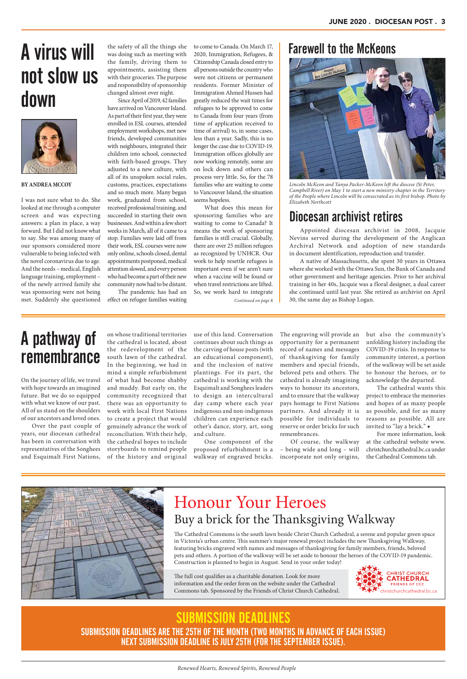Appointed diocesan archivist in 2008, Jacquie Nevins served during the development of the Anglican Archival Network and adoption of new standards in document identification, reproduction and transfer.

A native of Massachusetts, she spent 30 years in Ottawa where she worked with the Ottawa Sun, the Bank of Canada and other government and heritage agencies. Prior to her archival training in her 40s, Jacquie was a floral designer, a dual career she continued until last year. She retired as archivist on April 30, the same day as Bishop Logan.

# A virus will not slow us down



Farewell to the McKeons

#### **BY ANDREA MCCOY**

I was not sure what to do. She looked at me through a computer screen and was expecting answers: a plan in place, a way forward. But I did not know what to say. She was among many of our sponsors considered more vulnerable to being infected with the novel coronavirus due to age. And the needs – medical, English language training, employment – of the newly arrived family she was sponsoring were not being met. Suddenly she questioned

the safety of all the things she was doing such as meeting with the family, driving them to appointments, assisting them with their groceries. The purpose and responsibility of sponsorship changed almost over night.

Since April of 2019, 42 families have arrived on Vancouver Island. As part of their first year, they were enrolled in ESL courses, attended employment workshops, met new friends, developed communities with neighbours, integrated their children into school, connected with faith-based groups. They adjusted to a new culture, with all of its unspoken social rules, customs, practices, expectations and so much more. Many began work, graduated from school, received professional training, and succeeded in starting their own businesses. And within a few short weeks in March, all of it came to a stop. Families were laid off from their work, ESL courses were now only online, schools closed, dental appointments postponed, medical

attention slowed, and every person who had become a part of their new community now had to be distant. The pandemic has had an

effect on refugee families waiting

to come to Canada. On March 17, 2020, Immigration, Refugees, & Citizenship Canada closed entry to all persons outside the country who were not citizens or permanent residents. Former Minister of Immigration Ahmed Hussen had greatly reduced the wait times for refugees to be approved to come to Canada from four years (from time of application received to time of arrival) to, in some cases, less than a year. Sadly, this is no longer the case due to COVID-19. Immigration offices globally are now working remotely, some are on lock down and others can process very little. So, for the 78 families who are waiting to come to Vancouver Island, the situation seems hopeless.

*Renewed Hearts, Renewed Spirits, Renewed People*

On the journey of life, we travel with hope towards an imagined future. But we do so equipped with what we know of our past. All of us stand on the shoulders of our ancestors and loved ones.

Over the past couple of years, our diocesan cathedral has been in conversation with representatives of the Songhees and Esquimalt First Nations, use of this land. Conversation continues about such things as the carving of house posts (with an educational component), and the inclusion of native plantings. For its part, the cathedral is working with the Esquimalt and Songhees leaders to design an intercultural day camp where each year indigenous and non-indigenous children can experience each other's dance, story, art, song and culture.

One component of the proposed refurbishment is a walkway of engraved bricks.

The engraving will provide an opportunity for a permanent record of names and messages of thanksgiving for family members and special friends, beloved pets and others. The cathedral is already imagining ways to honour its ancestors, and to ensure that the walkway pays homage to First Nations partners. And already it is possible for individuals to reserve or order bricks for such remembrances.

Of course, the walkway – being wide and long – will incorporate not only origins, but also the community's unfolding history including the COVID-19 crisis. In response to community interest, a portion of the walkway will be set aside to honour the heroes, or to acknowledge the departed.

What does this mean for sponsoring families who are waiting to come to Canada? It means the work of sponsoring families is still crucial. Globally, there are over 25 million refugees as recognized by UNHCR. Our work to help resettle refugees is important even if we aren't sure when a vaccine will be found or when travel restrictions are lifted. So, we work hard to integrate *Continued on page 8*

> The cathedral wants this project to embrace the memories and hopes of as many people as possible, and for as many reasons as possible. All are invited to "lay a brick." ■

> For more information, look at the cathedral website www. christchurchcathedral.bc.ca under the Cathedral Commons tab.



on whose traditional territories the cathedral is located, about the redevelopment of the south lawn of the cathedral. In the beginning, we had in mind a simple refurbishment of what had become shabby and muddy. But early on, the community recognized that there was an opportunity to work with local First Nations to create a project that would genuinely advance the work of reconciliation. With their help, the cathedral hopes to include storyboards to remind people of the history and original

### A pathway of remembrance

The Cathedral Commons is the south lawn beside Christ Church Cathedral, a serene and popular green space in Victoria's urban centre. This summer's major renewal project includes the new Thanksgiving Walkway, featuring bricks engraved with names and messages of thanksgiving for family members, friends, beloved pets and others. A portion of the walkway will be set aside to honour the heroes of the COVID-19 pandemic. Construction is planned to begin in August. Send in your order today!

The full cost qualifies as a charitable donation. Look for more information and the order form on the website under the Cathedral Commons tab. Sponsored by the Friends of Christ Church Cathedral.

Honour Your Heroes Buy a brick for the Thanksgiving Walkway



### SUBMISSION DEADLINES ARE THE 25TH OF THE MONTH (TWO MONTHS IN ADVANCE OF EACH ISSUE) NEXT SUBMISSION DEADLINE IS JULY 25TH (FOR THE SEPTEMBER ISSUE).

### SUBMISSION DEADLINES



*Lincoln McKeon and Tanya Packer-McKeon left the diocese (St Peter, Campbell River) on May 1 to start a new ministry chapter in the Territory of the People where Lincoln will be consecrated as its first bishop. Photo by Elizabeth Northcott*

### Diocesan archivist retires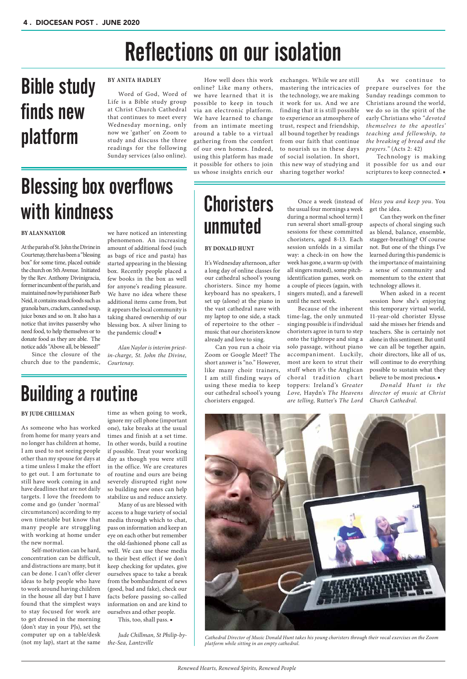#### **BY ALAN NAYLOR**

At the parish of St. John the Divine in Courtenay, there has been a "blessing box" for some time, placed outside the church on 5th Avenue. Initiated by the Rev. Anthony Divinigracia, former incumbent of the parish, and maintained now by parishioner Barb Neid, it contains snack foods such as granola bars, crackers, canned soup, juice boxes and so on. It also has a notice that invites passersby who need food, to help themselves or to donate food as they are able. The notice adds "Above all, be blessed!"

Since the closure of the church due to the pandemic,

we have noticed an interesting phenomenon. An increasing amount of additional food (such as bags of rice and pasta) has started appearing in the blessing box. Recently people placed a few books in the box as well for anyone's reading pleasure. We have no idea where these additional items came from, but it appears the local community is taking shared ownership of our blessing box. A silver lining to the pandemic cloud! ■

*Alan Naylor is interim priestin-charge, St. John the Divine, Courtenay.*

# Blessing box overflows with kindness

# Reflections on our isolation

#### **BY ANITA HADLEY**

As we continue to prepare ourselves for the Sunday readings common to Christians around the world, we do so in the spirit of the early Christians who *"devoted themselves to the apostles' teaching and fellowship, to the breaking of bread and the prayers."* (Acts 2: 42)

Word of God, Word of Life is a Bible study group at Christ Church Cathedral that continues to meet every Wednesday morning, only now we 'gather' on Zoom to study and discuss the three readings for the following Sunday services (also online).

How well does this work

online? Like many others, we have learned that it is possible to keep in touch via an electronic platform. We have learned to change from an intimate meeting around a table to a virtual gathering from the comfort of our own homes. Indeed, using this platform has made it possible for others to join us whose insights enrich our exchanges. While we are still mastering the intricacies of the technology, we are making it work for us. And we are finding that it is still possible to experience an atmosphere of trust, respect and friendship, all bound together by readings from our faith that continue to nourish us in these days of social isolation. In short, this new way of studying and sharing together works!

> When asked in a recent session how she's enjoying this temporary virtual world, 11-year-old chorister Elysse said she misses her friends and teachers. She is certainly not alone in this sentiment. But until we can all be together again, choir directors, like all of us, will continue to do everything possible to sustain what they believe to be most precious.  $\blacksquare$

## **Choristers** unmuted

Technology is making it possible for us and our scriptures to keep connected. ■

# Bible study finds new platform

#### **BY DONALD HUNT**

It's Wednesday afternoon, after a long day of online classes for our cathedral school's young choristers. Since my home keyboard has no speakers, I set up (alone) at the piano in the vast cathedral nave with my laptop to one side, a stack of repertoire to the other – music that our choristers know already and love to sing.

Can you run a choir via Zoom or Google Meet? The short answer is "no." However, like many choir trainers, I am still finding ways of using these media to keep our cathedral school's young choristers engaged.

Once a week (instead of the usual four mornings a week during a normal school term) I run several short small-group sessions for these committed choristers, aged 8-13. Each session unfolds in a similar way: a check-in on how the week has gone, a warm-up (with all singers muted), some pitchidentification games, work on a couple of pieces (again, with singers muted), and a farewell until the next week.

Because of the inherent time-lag, the only unmuted singing possible is if individual choristers agree in turn to step onto the tightrope and sing a solo passage, without piano accompaniment. Luckily, most are keen to strut their stuff when it's the Anglican choral tradition chart toppers: Ireland's *Greater Love,* Haydn's *The Heavens are telling*, Rutter's *The Lord* 

*bless you and keep you*. You get the idea.

Can they work on the finer aspects of choral singing such as blend, balance, ensemble, stagger-breathing? Of course not. But one of the things I've learned during this pandemic is the importance of maintaining a sense of community and momentum to the extent that technology allows it.

*Donald Hunt is the director of music at Christ Church Cathedral.* 

#### **BY JUDE CHILLMAN**

As someone who has worked from home for many years and no longer has children at home, I am used to not seeing people other than my spouse for days at a time unless I make the effort to get out. I am fortunate to still have work coming in and have deadlines that are not daily targets. I love the freedom to come and go (under 'normal' circumstances) according to my own timetable but know that many people are struggling with working at home under the new normal. Self-motivation can be hard, concentration can be difficult, and distractions are many, but it can be done. I can't offer clever ideas to help people who have to work around having children in the house all day but I have found that the simplest ways to stay focused for work are to get dressed in the morning (don't stay in your PJs), set the computer up on a table/desk (not my lap), start at the same time as when going to work, ignore my cell phone (important one), take breaks at the usual times and finish at a set time. In other words, build a routine if possible. Treat your working day as though you were still in the office. We are creatures of routine and ours are being severely disrupted right now so building new ones can help stabilize us and reduce anxiety.

Many of us are blessed with access to a huge variety of social media through which to chat, pass on information and keep an eye on each other but remember the old-fashioned phone call as well. We can use these media to their best effect if we don't keep checking for updates, give ourselves space to take a break from the bombardment of news (good, bad and fake), check our facts before passing so-called information on and are kind to ourselves and other people. This, too, shall pass. ■



*Jude Chillman, St Philip-bythe-Sea, Lantzville*

### Building a routine

*Cathedral Director of Music Donald Hunt takes his young choristers through their vocal exercises on the Zoom platform while sitting in an empty cathedral.*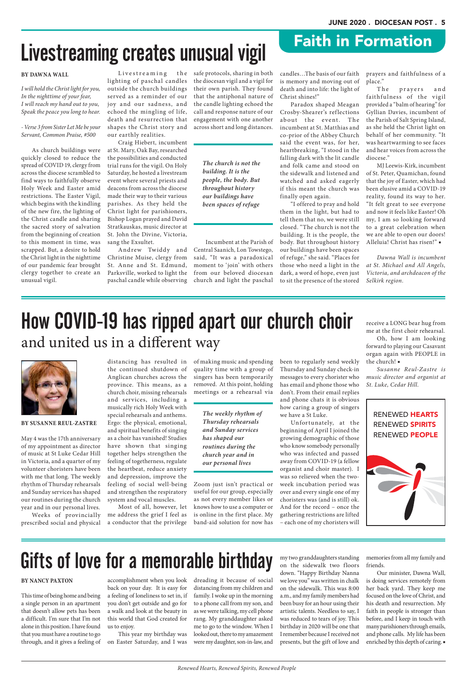safe protocols, sharing in both the diocesan vigil and a vigil for their own parish. They found that the antiphonal nature of the candle lighting echoed the call and response nature of our engagement with one another across short and long distances.

 Incumbent at the Parish of Central Saanich, Lon Towstego, said, "It was a paradoxical moment to 'join' with others from our beloved diocesan church and light the paschal

### Gifts of love for a memorable birthday

dreading it because of social distancing from my children and family. I woke up in the morning to a phone call from my son, and as we were talking, my cell phone rang. My granddaughter asked me to go to the window. When I looked out, there to my amazement were my daughter, son-in-law, and my two granddaughters standing on the sidewalk two floors down. "Happy Birthday Nanna we love you" was written in chalk on the sidewalk. This was 8:00 a.m., and my family members had been busy for an hour using their artistic talents. Needless to say, I was reduced to tears of joy. This birthday in 2020 will be one that I remember because I received not presents, but the gift of love and

memories from all my family and friends.

Our minister, Dawna Wall, is doing services remotely from her back yard. They keep me focused on the love of Christ, and his death and resurrection. My faith in people is stronger than before, and I keep in touch with many parishioners through emails, and phone calls. My life has been enriched by this depth of caring. ■

#### **BY NANCY PAXTON**

This time of being home and being a single person in an apartment that doesn't allow pets has been a difficult. I'm sure that I'm not alone in this position. I have found that you must have a routine to go through, and it gives a feeling of

accomplishment when you look back on your day. It is easy for a feeling of loneliness to set in, if you don't get outside and go for a walk and look at the beauty in this world that God created for us to enjoy.

This year my birthday was on Easter Saturday, and I was

#### **BY SUSANNE REUL-ZASTRE**

May 4 was the 17th anniversary of my appointment as director of music at St Luke Cedar Hill in Victoria, and a quarter of my volunteer choristers have been with me that long. The weekly rhythm of Thursday rehearsals and Sunday services has shaped our routines during the church year and in our personal lives.

Weeks of provincially prescribed social and physical

prayers and faithfulness of a place."<br>The

distancing has resulted in the continued shutdown of Anglican churches across the province. This means, as a church choir, missing rehearsals and services, including a musically rich Holy Week with special rehearsals and anthems. Ergo: the physical, emotional, and spiritual benefits of singing as a choir has vanished! Studies have shown that singing together helps strengthen the feeling of togetherness, regulate the heartbeat, reduce anxiety and depression, improve the feeling of social well-being and strengthen the respiratory system and vocal muscles.

prayers and faithfulness of the vigil provided a "balm of hearing" for Gyllian Davies, incumbent of the Parish of Salt Spring Island, as she held the Christ light on behalf of her community. "It was heartwarming to see faces and hear voices from across the diocese."

Most of all, however, let me address the grief I feel as a conductor that the privilege of making music and spending quality time with a group of singers has been temporarily removed. At this point, holding meetings or a rehearsal via

### How COVID-19 has ripped apart our church choir and united us in a different way



Zoom just isn't practical or useful for our group, especially as not every member likes or knows how to use a computer or is online in the first place. My band-aid solution for now has been to regularly send weekly Thursday and Sunday check-in messages to every chorister who has email and phone those who don't. From their email replies and phone chats it is obvious how caring a group of singers we have a St Luke.

Livestreaming the lighting of paschal candles outside the church buildings served as a reminder of our joy and our sadness, and echoed the mingling of life, death and resurrection that shapes the Christ story and our earthly realities.

> Unfortunately, at the beginning of April I joined the growing demographic of those who know somebody personally who was infected and passed away from COVID-19 (a fellow organist and choir master). I was so relieved when the twoweek incubation period was over and every single one of my choristers was (and is still) ok. And for the record – once the gathering restrictions are lifted – each one of my choristers will

Andrew Twiddy and Christine Muise, clergy from St. Anne and St. Edmund, Parksville, worked to light the paschal candle while observing

> receive a LONG bear hug from me at the first choir rehearsal.

> Oh, how I am looking forward to playing our Casavant organ again with PEOPLE in the church! ■

> *Susanne Reul-Zastre is music director and organist at St. Luke, Cedar Hill.*

*The weekly rhythm of Thursday rehearsals and Sunday services has shaped our routines during the church year and in our personal lives*

*The church is not the building. It is the people, the body. But throughout history our buildings have been spaces of refuge*

# Livestreaming creates unusual vigil

candles…The basis of our faith is memory and moving out of death and into life: the light of Christ shines!"

Paradox shaped Meagan Crosby-Shearer's ref lections about the event. The incumbent at St. Matthias and co-prior of the Abbey Church said the event was, for her, heartbreaking, "I stood in the falling dark with the lit candle and folk came and stood on the sidewalk and listened and watched and asked eagerly if this meant the church was finally open again.

"I offered to pray and hold them in the light, but had to tell them that no, we were still closed. "The church is not the building. It is the people, the body. But throughout history our buildings have been spaces of refuge," she said. "Places for those who need a light in the dark, a word of hope, even just to sit the presence of the stored

MJ Leewis-Kirk, incumbent of St. Peter, Quamichan, found that the joy of Easter, which had been elusive amid a COVID-19 reality, found its way to her. "It felt great to see everyone and now it feels like Easter! Oh my, I am so looking forward to a great celebration when we are able to open our doors! Alleluia! Christ has risen!" ■

*Dawna Wall is incumbent at St. Michael and All Angels, Victoria, and archdeacon of the Selkirk region.*

#### **BY DAWNA WALL**

*I will hold the Christ light for you, In the nighttime of your fear, I will reach my hand out to you, Speak the peace you long to hear.*

*- Verse 3 from Sister Let Me be your Servant, Common Praise, #500*

As church buildings were quickly closed to reduce the spread of COVID 19, clergy from across the diocese scrambled to find ways to faithfully observe Holy Week and Easter amid restrictions. The Easter Vigil, which begins with the kindling of the new fire, the lighting of the Christ candle and sharing the sacred story of salvation from the beginning of creation to this moment in time, was scrapped. But, a desire to hold the Christ light in the nighttime of our pandemic fear brought clergy together to create an unusual vigil.

Craig Hiebert, incumbent at St. Mary, Oak Bay, researched the possibilities and conducted trial runs for the vigil. On Holy Saturday, he hosted a livestream event where several priests and deacons from across the diocese made their way to their various parishes. As they held the Christ light for parishioners, Bishop Logan prayed and David Stratkauskas, music director at St. John the Divine, Victoria, sang the Exsultet.

Faith in Formation

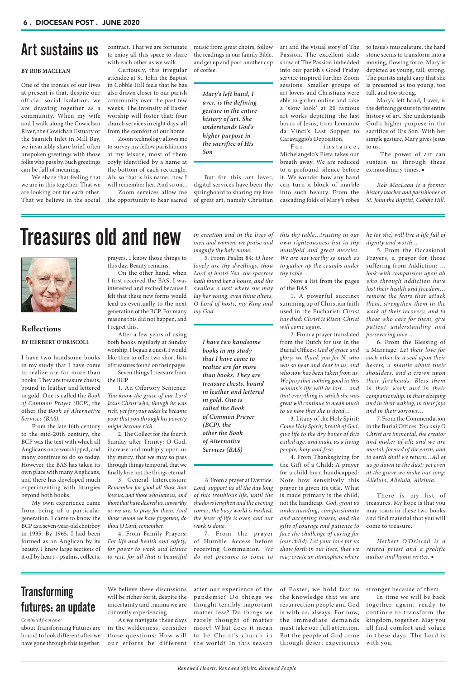### **Art Sustains us** contract. That we are fortunate music from great choirs, follow art and the visual story of The to Jesus's musculature, the hard to a less in the hard to a standard the standard standard the standard stan

stone seems to transform into a moving, flowing force. Mary is depicted as young, tall, strong. The purists might carp that she is presented as too young, too tall, and too strong.

Mary's left hand, I aver, is the defining gesture in the entire history of art. She understands God's higher purpose in the sacrifice of His Son. With her simple gesture, Mary gives Jesus to us.

 The power of art can sustain us through these extraordinary times. ■

*Rob MacLean is a former history teacher and parishioner at St. John the Baptist, Cobble Hill.*

#### **BY ROB MACLEAN**

One of the ironies of our lives at present is that, despite our official social isolation, we are drawing together as a community. When my wife and I walk along the Cowichan River, the Cowichan Estuary or the Saanich Inlet in Mill Bay, we invariably share brief, often unspoken greetings with those folks who pass by. Such greetings can be full of meaning.

For instance, Michelangelo's Pieta takes our breath away. We are reduced to a profound silence before it. We wonder how any hand can turn a block of marble into such beauty. From the cascading folds of Mary's robes

We share that feeling that we are in this together. That we are looking out for each other. That we believe in the social music from great choirs, follow the readings in our family Bible, and get up and pour another cup of coffee.

But for this art lover, digital services have been the springboard to sharing my love of great art, namely Christian

We believe these discussions will be richer for it, despite the uncertainty and trauma we are currently experiencing. As we navigate these days in the wilderness, consider these questions: How will our efforts be different art and the visual story of The Passion. The excellent slide show of The Passion imbedded into our parish's Good Friday service inspired further Zoom sessions. Smaller groups of art lovers and Christians were able to gather online and take a 'slow look' at 20 famous art works depicting the last hours of Jesus, from Leonardo da Vinci's Last Supper to Caravaggio's Deposition.

### **Transforming** futures: an update

contract. That we are fortunate to enjoy all this space to share with each other as we walk. Curiously, this irregular attendee at St. John the Baptist

in Cobble Hill feels that he has also drawn closer to our parish community over the past few weeks. The intensity of Easter worship will foster that: four church services in eight days, all from the comfort of our home.

Zoom technology allows me to survey my fellow parishioners at my leisure, most of them coyly identified by a name at the bottom of each rectangle. Ah, so that is his name...now I will remember her. And so on...

Zoom services allow me the opportunity to hear sacred

> of Easter, we hold fast to the knowledge that we are resurrection people and God is with us, always. For now, the immediate demands must take our full attention. But the people of God come through desert experiences

stronger because of them. In time we will be back together again, ready to continue to transform the kingdom, together. May you all find comfort and solace in these days. The Lord is with you.

about Transforming Futures are bound to look different after we have gone through this together. after our experience of the pandemic? Do things we thought terribly important matter less? Do things we rarely thought of matter more? What does it mean to be Christ's church in the world? In this season

*Continued from cover*

*Mary's left hand, I aver, is the defining gesture in the entire history of art. She understands God's higher purpose in the sacrifice of His Son*

### Treasures old and new



### **Reflections BY HERBERT O'DRISCOLL**

I have two handsome books in my study that I have come to realize are far more than books. They are treasure chests, bound in leather and lettered in gold. One is called the *Book of Common Prayer (BCP)*, the other the *Book of Alternative Services (BAS)*.

From the late 16th century to the mid-20th century, the BCP was the text with which all Anglicans once worshipped, and many continue to do so today. However, the BAS has taken its own place with many Anglicans, and there has developed much experimenting with liturgies beyond both books.

*this thy table…trusting in our own righteousness but in thy manifold and great mercies. We are not worthy so much as to gather up the crumbs under thy table…*

Now a list from the pages of the BAS

1. A powerful succinct summing up of Christian faith used in the Eucharist: *Christ has died: Christ is Risen: Christ will come again.*

2. From a prayer translated from the Dutch for use in the Burial Offices: *God of grace and glory, we thank you for N. who was so near and dear to us, and who now has been taken from us. We pray that nothing good in this woman's life will be lost… and that everything in which she was great will continue to mean much to us now that she is dead…*

3. Litany of the Holy Spirit: *Come Holy Spirit, breath of God, give life to the dry bones of this exiled age, and make us a living people, holy and free.*

4. From Thanksgiving for the Gift of a Child: A prayer for a child born handicapped: Note how sensitively this prayer is given its title. What is made primary is the child, not the handicap. *God, grant us*  *he (or she) will live a life full of dignity and worth…*

5. From the Occasional Prayers, a prayer for those suffering from Addiction: … *look with compassion upon all who through addiction have lost their health and freedom… remove the fears that attack them, strengthen them in the work of their recovery, and to those who care for them, give patient understanding and persevering love…*

6. From the Blessing of a Marriage: *Let their love for each other be a seal upon their hearts, a mantle about their shoulders, and a crown upon their foreheads. Bless them in their work and in their companionship, in their sleeping and in their waking, in their joys and in their sorrows…*

My own experience came from being of a particular generation. I came to know the BCP as a seven-year-old choirboy in 1935. By 1965, I had been formed as an Anglican by its beauty. I knew large sections of it off by heart – psalms, collects, *understanding, compassionate and accepting hearts, and the gifts of courage and patience to face the challenge of caring for (our child). Let your love for us show forth in our lives, that we may create an atmosphere where*  come to treasure. *Herbert O'Driscoll is a retired priest and a prolific author and hymn writer.* ■ *comes, the busy world is hushed, the fever of life is over, and our work is done.* 7. From the prayer of Humble Access before receiving Communion: *We do not presume to come to those that have desired us, unworthy as we are, to pray for them. And those whom we have forgotten, do thou O Lord, remember.* 4. From Family Prayers: *For life and health and safety, for power to work and leisure to rest, for all that is beautiful* 

7. From the Commendation in the Burial Offices: *You only O Christ are immortal, the creator and maker of all; and we are mortal, formed of the earth, and to earth shall we return…All of us go down to the dust; yet even at the grave we make our song: Alleluia, Alleluia, Alleluia.*

There is my list of treasures. My hope is that you may roam in these two books and find material that you will

*in creation and in the lives of men and women, we praise and magnify thy holy name.*

5. From Psalm 84: *O how lovely are thy dwellings, thou Lord of hosts! Yea, the sparrow hath found her a house, and the swallow a nest where she may lay her young, even thine altars, O Lord of hosts, my King and my God.*

 6. From a prayer at Eventide: *Lord, support us all the day long of this troublous life, until the shadows lengthen and the evening* 

prayers. I know those things to this day. Beauty remains.

On the other hand, when I first received the BAS, I was interested and excited because I felt that these new forms would lead us eventually to the next generation of the BCP. For many reasons this did not happen, and I regret this.

After a few years of using both books regularly at Sunday worship, I began a quest. I would like then to offer two short lists of treasures found on their pages.

Seven things I treasure from the BCP

1. An Offertory Sentence: *You know the grace of our Lord Jesus Christ who, though he was rich, yet for your sakes he became poor that you through his poverty might become rich.*

2. The Collect for the fourth Sunday after Trinity: O God, increase and multiply upon us thy mercy, that we may so pass through things temporal, that we finally lose not the things eternal.

3. General Intercession: *Remember for good all those that love us, and those who hate us, and* 

*I have two handsome* 

*books in my study that I have come to realize are far more than books. They are treasure chests, bound in leather and lettered in gold. One is called the Book of Common Prayer (BCP), the other the Book of Alternative Services (BAS)*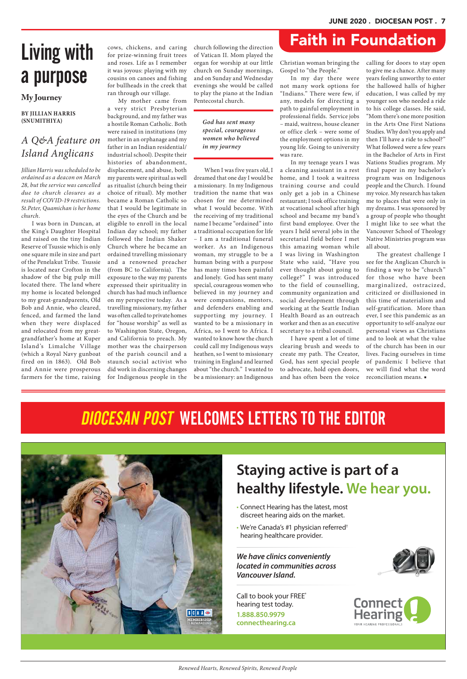*Renewed Hearts, Renewed Spirits, Renewed People*

# a purpose

#### **BY JILLIAN HARRIS (SNUMITHIYA)**

### *A Q&A feature on Island Anglicans*

*Jillian Harris was scheduled to be ordained as a deacon on March 28, but the service was cancelled due to church closures as a result of COVID-19 restrictions. St.Peter, Quamichan is her home church.*

I was born in Duncan, at the King's Daughter Hospital and raised on the tiny Indian Reserve of Tsussie which is only one square mile in size and part of the Penelakut Tribe. Tsussie is located near Crofton in the shadow of the big pulp mill located there. The land where my home is located belonged to my great-grandparents, Old Bob and Annie, who cleared, fenced, and farmed the land when they were displaced and relocated from my greatgrandfather's home at Kuper Island's Limalche Village (which a Royal Navy gunboat fired on in 1863). Old Bob and Annie were prosperous farmers for the time, raising

cows, chickens, and caring for prize-winning fruit trees and roses. Life as I remember it was joyous: playing with my cousins on canoes and fishing for bullheads in the creek that ran through our village.

My mother came from a very strict Presbyterian background, and my father was a hostile Roman Catholic. Both were raised in institutions (my mother in an orphanage and my father in an Indian residential/ industrial school). Despite their histories of abandonment, displacement, and abuse, both my parents were spiritual as well as ritualist (church being their choice of ritual). My mother became a Roman Catholic so that I would be legitimate in the eyes of the Church and be eligible to enroll in the local Indian day school; my father followed the Indian Shaker Church where he became an ordained travelling missionary and a renowned preacher (from BC to California). The exposure to the way my parents expressed their spirituality in church has had much influence on my perspective today. As a travelling missionary, my father was often called to private homes for "house worship" as well as to Washington State, Oregon, and California to preach. My mother was the chairperson of the parish council and a staunch social activist who did work in discerning changes for Indigenous people in the church following the direction of Vatican II. Mom played the organ for worship at our little church on Sunday mornings, and on Sunday and Wednesday evenings she would be called to play the piano at the Indian Pentecostal church.

When I was five years old, I dreamed that one day I would be a missionary. In my Indigenous tradition the name that was chosen for me determined what I would become. With the receiving of my traditional name I became "ordained" into a traditional occupation for life – I am a traditional funeral worker. As an Indigenous woman, my struggle to be a human being with a purpose has many times been painful and lonely. God has sent many special, courageous women who believed in my journey and were companions, mentors, and defenders enabling and supporting my journey. I wanted to be a missionary in Africa, so I went to Africa. I wanted to know how the church could call my Indigenous ways heathen, so I went to missionary training in England and learned about "the church." I wanted to be a missionary: an Indigenous

# Living with cows, chickens, and caring church following the direction **Faith in Foundation**

Christian woman bringing the Gospel to "the People."

In my day there were not many work options for "Indians." There were few, if any, models for directing a path to gainful employment in professional fields. Service jobs – maid, waitress, house cleaner or office clerk – were some of the employment options in my young life. Going to university was rare.

In my teenage years I was a cleaning assistant in a rest home, and I took a waitress training course and could only get a job in a Chinese restaurant; I took office training at vocational school after high school and became my band's first band employee. Over the years I held several jobs in the secretarial field before I met this amazing woman while I was living in Washington State who said, "Have you ever thought about going to college?" I was introduced to the field of counselling, community organization and social development through working at the Seattle Indian Health Board as an outreach worker and then as an executive secretary to a tribal council.

I have spent a lot of time clearing brush and weeds to create my path. The Creator, God, has sent special people to advocate, hold open doors, and has often been the voice

calling for doors to stay open to give me a chance. After many years feeling unworthy to enter the hallowed halls of higher education, I was called by my younger son who needed a ride to his college classes. He said, "Mom there's one more position in the Arts One First Nations Studies. Why don't you apply and then I'll have a ride to school?" What followed were a few years in the Bachelor of Arts in First Nations Studies program. My final paper in my bachelor's program was on Indigenous people and the Church. I found my voice. My research has taken me to places that were only in my dreams. I was sponsored by a group of people who thought I might like to see what the Vancouver School of Theology Native Ministries program was all about.

The greatest challenge I see for the Anglican Church is finding a way to be "church" for those who have been marginalized, ostracized, criticized or disillusioned in this time of materialism and self-gratification. More than ever, I see this pandemic as an opportunity to self-analyze our personal views as Christians and to look at what the value of the church has been in our lives. Facing ourselves in time of pandemic I believe that we will find what the word reconciliation means. ■

### DIOCESAN POST WELCOMES LETTERS TO THE EDITOR

#### **My Journey**

CONNECT HEARING – PRINT AD – WE HEAR YOU – DIOCESAN POST



### **Staying active is part of a healthy lifestyle. We hear you.**

Call to book your FREE\* hearing test today. **1.888.850.9979 connecthearing.ca**





corporation's Canadian business operations compared to the disclosed referral count of leading competitors. ®CAA, CAA logo and CAA Rewards trademarks owned by, and use is authorized by, the Canadian Automobile Association.

- Connect Hearing has the latest, most discreet hearing aids on the market.
- We're Canada's #1 physician referred†

hearing healthcare provider.

*We have clinics conveniently located in communities across Vancouver Island.*

#### *God has sent many special, courageous women who believed in my journey*